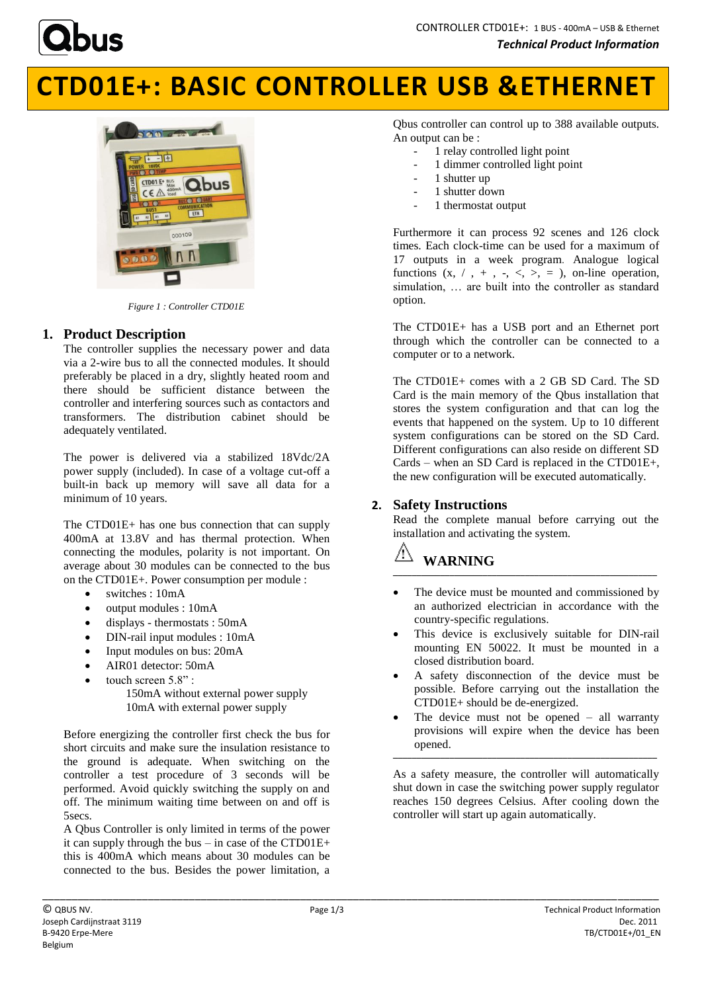

# **CTD01E+: BASIC CONTROLLER USB &ETHERNET**



*Figure 1 : Controller CTD01E*

# **1. Product Description**

The controller supplies the necessary power and data via a 2-wire bus to all the connected modules. It should preferably be placed in a dry, slightly heated room and there should be sufficient distance between the controller and interfering sources such as contactors and transformers. The distribution cabinet should be adequately ventilated.

The power is delivered via a stabilized 18Vdc/2A power supply (included). In case of a voltage cut-off a built-in back up memory will save all data for a minimum of 10 years.

The CTD01E+ has one bus connection that can supply 400mA at 13.8V and has thermal protection. When connecting the modules, polarity is not important. On average about 30 modules can be connected to the bus on the CTD01E+. Power consumption per module :

- switches : 10mA
- output modules : 10mA
- displays thermostats : 50mA
- DIN-rail input modules : 10mA
- Input modules on bus: 20mA
- AIR01 detector: 50mA
- touch screen 5.8" :

150mA without external power supply 10mA with external power supply

Before energizing the controller first check the bus for short circuits and make sure the insulation resistance to the ground is adequate. When switching on the controller a test procedure of 3 seconds will be performed. Avoid quickly switching the supply on and off. The minimum waiting time between on and off is 5secs.

A Qbus Controller is only limited in terms of the power it can supply through the bus – in case of the CTD01E+ this is 400mA which means about 30 modules can be connected to the bus. Besides the power limitation, a Qbus controller can control up to 388 available outputs. An output can be :

- 1 relay controlled light point
- 1 dimmer controlled light point
- 1 shutter up
- 1 shutter down
- 1 thermostat output

Furthermore it can process 92 scenes and 126 clock times. Each clock-time can be used for a maximum of 17 outputs in a week program. Analogue logical functions  $(x, / , + , - , < , > , = ,$  on-line operation, simulation, … are built into the controller as standard option.

The CTD01E+ has a USB port and an Ethernet port through which the controller can be connected to a computer or to a network.

The CTD01E+ comes with a 2 GB SD Card. The SD Card is the main memory of the Qbus installation that stores the system configuration and that can log the events that happened on the system. Up to 10 different system configurations can be stored on the SD Card. Different configurations can also reside on different SD Cards – when an SD Card is replaced in the CTD01E+, the new configuration will be executed automatically.

# **2. Safety Instructions**

Read the complete manual before carrying out the installation and activating the system.

# **WARNING \_\_\_\_\_\_\_\_\_\_\_\_\_\_\_\_\_\_\_\_\_\_\_\_\_\_\_\_\_\_\_\_\_\_\_\_\_\_\_\_\_\_\_\_\_\_\_\_\_\_\_\_\_\_\_\_**

- The device must be mounted and commissioned by an authorized electrician in accordance with the country-specific regulations.
- This device is exclusively suitable for DIN-rail mounting EN 50022. It must be mounted in a closed distribution board.
- A safety disconnection of the device must be possible. Before carrying out the installation the CTD01E+ should be de-energized.
- The device must not be opened all warranty provisions will expire when the device has been opened. **\_\_\_\_\_\_\_\_\_\_\_\_\_\_\_\_\_\_\_\_\_\_\_\_\_\_\_\_\_\_\_\_\_\_\_\_\_\_\_\_\_\_\_\_\_\_\_\_\_\_\_\_\_\_\_\_**

As a safety measure, the controller will automatically shut down in case the switching power supply regulator reaches 150 degrees Celsius. After cooling down the controller will start up again automatically.

\_\_\_\_\_\_\_\_\_\_\_\_\_\_\_\_\_\_\_\_\_\_\_\_\_\_\_\_\_\_\_\_\_\_\_\_\_\_\_\_\_\_\_\_\_\_\_\_\_\_\_\_\_\_\_\_\_\_\_\_\_\_\_\_\_\_\_\_\_\_\_\_\_\_\_\_\_\_\_\_\_\_\_\_\_\_\_\_\_\_\_\_\_\_\_\_\_\_\_\_\_\_\_\_\_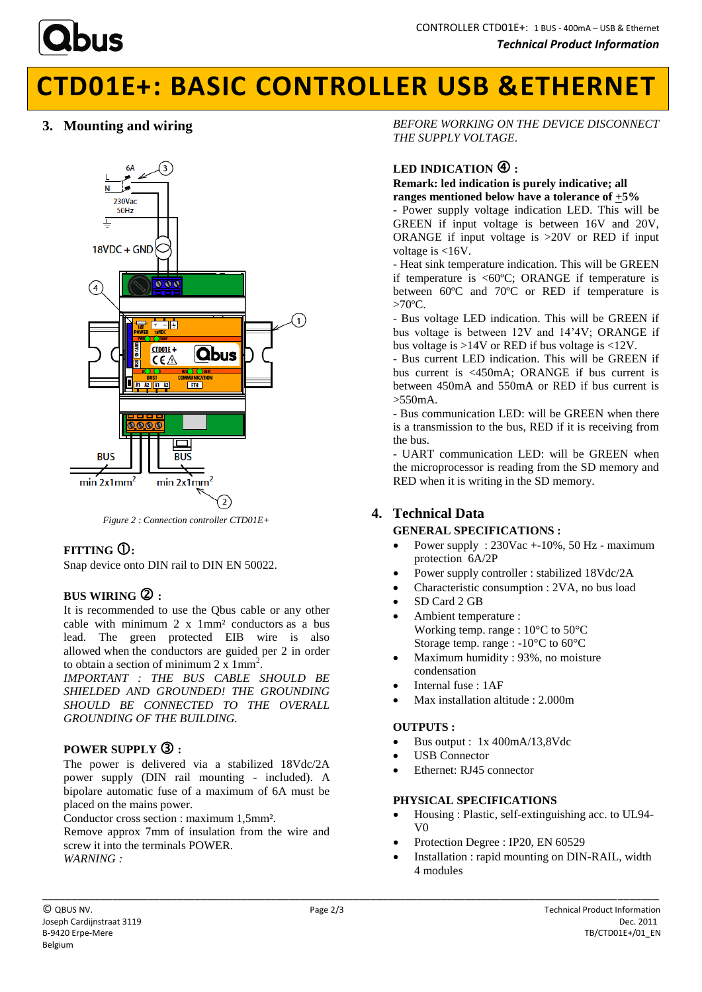

# **CTD01E+: BASIC CONTROLLER USB &ETHERNET**

# **3. Mounting and wiring**



*Figure 2 : Connection controller CTD01E+*

# **FITTING :**

Snap device onto DIN rail to DIN EN 50022.

# **BUS WIRING :**

It is recommended to use the Qbus cable or any other cable with minimum 2 x 1mm² conductors as a bus lead. The green protected EIB wire is also allowed when the conductors are guided per 2 in order to obtain a section of minimum  $2 \times 1 \text{mm}^2$ .

*IMPORTANT : THE BUS CABLE SHOULD BE SHIELDED AND GROUNDED! THE GROUNDING SHOULD BE CONNECTED TO THE OVERALL GROUNDING OF THE BUILDING.*

### **POWER SUPPLY :**

The power is delivered via a stabilized 18Vdc/2A power supply (DIN rail mounting - included). A bipolare automatic fuse of a maximum of 6A must be placed on the mains power.

Conductor cross section : maximum 1,5mm².

Remove approx 7mm of insulation from the wire and screw it into the terminals POWER. *WARNING :*

*BEFORE WORKING ON THE DEVICE DISCONNECT THE SUPPLY VOLTAGE*.

# LED INDICATION  $\bigoplus$ :

#### **Remark: led indication is purely indicative; all ranges mentioned below have a tolerance of +5%**

- Power supply voltage indication LED. This will be GREEN if input voltage is between 16V and 20V, ORANGE if input voltage is >20V or RED if input voltage is <16V.

- Heat sink temperature indication. This will be GREEN if temperature is  $<60^{\circ}\text{C}$ ; ORANGE if temperature is between 60ºC and 70ºC or RED if temperature is  $>70^{\circ}$ C.

- Bus voltage LED indication. This will be GREEN if bus voltage is between 12V and 14'4V; ORANGE if bus voltage is >14V or RED if bus voltage is <12V.

- Bus current LED indication. This will be GREEN if bus current is <450mA; ORANGE if bus current is between 450mA and 550mA or RED if bus current is >550mA.

- Bus communication LED: will be GREEN when there is a transmission to the bus, RED if it is receiving from the bus.

- UART communication LED: will be GREEN when the microprocessor is reading from the SD memory and RED when it is writing in the SD memory.

# **4. Technical Data**

# **GENERAL SPECIFICATIONS :**

- Power supply : 230Vac +-10%, 50 Hz maximum protection 6A/2P
- Power supply controller : stabilized 18Vdc/2A
- Characteristic consumption : 2VA, no bus load
- SD Card 2 GB
- Ambient temperature : Working temp. range : 10°C to 50°C Storage temp. range : -10°C to 60°C
- Maximum humidity : 93%, no moisture condensation
- Internal fuse : 1AF
- Max installation altitude : 2.000m

#### **OUTPUTS :**

- Bus output : 1x 400mA/13,8Vdc
- USB Connector
- Ethernet: RJ45 connector

### **PHYSICAL SPECIFICATIONS**

- Housing : Plastic, self-extinguishing acc. to UL94- V0
- Protection Degree : IP20, EN 60529
- Installation : rapid mounting on DIN-RAIL, width 4 modules

\_\_\_\_\_\_\_\_\_\_\_\_\_\_\_\_\_\_\_\_\_\_\_\_\_\_\_\_\_\_\_\_\_\_\_\_\_\_\_\_\_\_\_\_\_\_\_\_\_\_\_\_\_\_\_\_\_\_\_\_\_\_\_\_\_\_\_\_\_\_\_\_\_\_\_\_\_\_\_\_\_\_\_\_\_\_\_\_\_\_\_\_\_\_\_\_\_\_\_\_\_\_\_\_\_